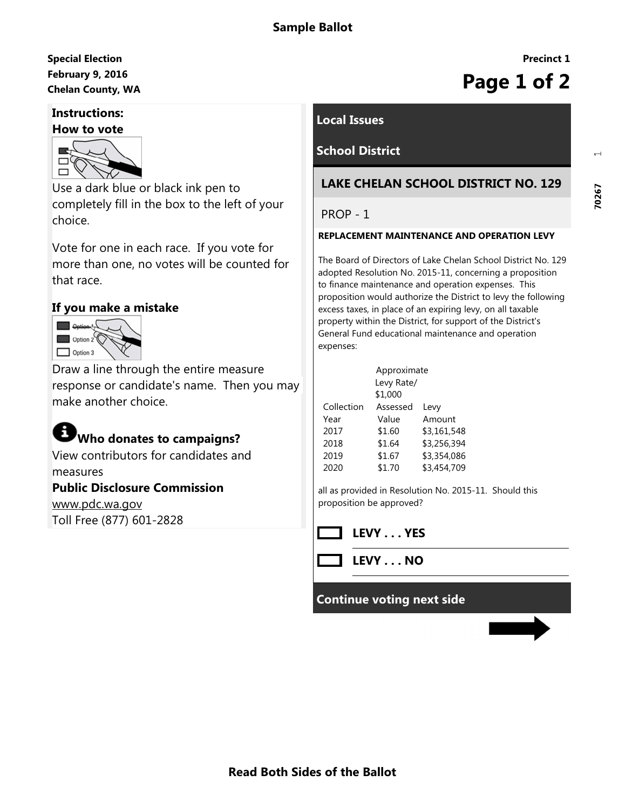## February 9, 2016 Special Election February 9, 2016<br>Chelan County, WA **Page 1 of 2**

#### Instructions:



Use a dark blue or black ink pen to completely fill in the box to the left of your choice.

Vote for one in each race. If you vote for more than one, no votes will be counted for that race.

#### If you make a mistake



Draw a line through the entire measure response or candidate's name. Then you may make another choice.

# Who donates to campaigns?

View contributors for candidates and measures

### Public Disclosure Commission

www.pdc.wa.gov Toll Free (877) 601-2828

### Local Issues

## School District

### LAKE CHELAN SCHOOL DISTRICT NO. 129

PROP - 1

#### REPLACEMENT MAINTENANCE AND OPERATION LEVY

The Board of Directors of Lake Chelan School District No. 129 adopted Resolution No. 2015-11, concerning a proposition to finance maintenance and operation expenses. This proposition would authorize the District to levy the following excess taxes, in place of an expiring levy, on all taxable property within the District, for support of the District's General Fund educational maintenance and operation expenses:

|            | Approximate |             |  |
|------------|-------------|-------------|--|
|            | Levy Rate/  |             |  |
|            | \$1,000     |             |  |
| Collection | Assessed    | Levy        |  |
| Year       | Value       | Amount      |  |
| 2017       | \$1.60      | \$3,161,548 |  |
| 2018       | \$1.64      | \$3,256,394 |  |
| 2019       | \$1.67      | \$3,354,086 |  |
| 2020       | \$1.70      | \$3,454,709 |  |

all as provided in Resolution No. 2015-11. Should this proposition be approved?



LEVY . . . NO

#### Continue voting next side

Precinct 1